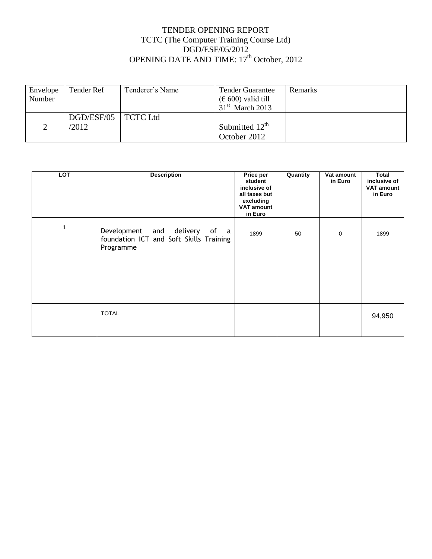## TENDER OPENING REPORT TCTC (The Computer Training Course Ltd) DGD/ESF/05/2012 OPENING DATE AND TIME: 17<sup>th</sup> October, 2012

| Envelope<br>Number | Tender Ref            | Tenderer's Name | Tender Guarantee<br>$(\epsilon 600)$ valid till | Remarks |
|--------------------|-----------------------|-----------------|-------------------------------------------------|---------|
|                    |                       |                 | $31st$ March 2013                               |         |
|                    | DGD/ESF/05   TCTC Ltd |                 |                                                 |         |
|                    | /2012                 |                 | Submitted $12^{\text{th}}$                      |         |
|                    |                       |                 | October 2012                                    |         |

| <b>LOT</b>   | <b>Description</b>                                                                    | Price per<br>student<br>inclusive of<br>all taxes but<br>excluding<br><b>VAT amount</b><br>in Euro | Quantity | Vat amount<br>in Euro | Total<br>inclusive of<br><b>VAT amount</b><br>in Euro |
|--------------|---------------------------------------------------------------------------------------|----------------------------------------------------------------------------------------------------|----------|-----------------------|-------------------------------------------------------|
| $\mathbf{1}$ | Development and delivery of a<br>foundation ICT and Soft Skills Training<br>Programme | 1899                                                                                               | 50       | $\mathbf 0$           | 1899                                                  |
|              | <b>TOTAL</b>                                                                          |                                                                                                    |          |                       | 94,950                                                |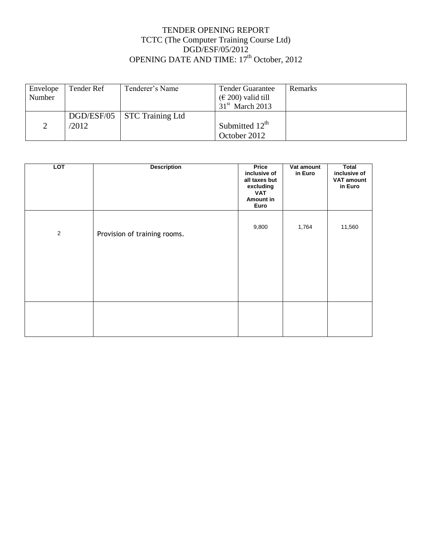## TENDER OPENING REPORT TCTC (The Computer Training Course Ltd) DGD/ESF/05/2012 OPENING DATE AND TIME: 17<sup>th</sup> October, 2012

| Envelope | Tender Ref | Tenderer's Name  | <b>Tender Guarantee</b>                 | <b>Remarks</b> |
|----------|------------|------------------|-----------------------------------------|----------------|
| Number   |            |                  | $(\text{\textsterling} 200)$ valid till |                |
|          |            |                  | $31st$ March 2013                       |                |
|          | DGD/ESF/05 | STC Training Ltd |                                         |                |
|          | /2012      |                  | Submitted $12th$                        |                |
|          |            |                  | October 2012                            |                |

| <b>LOT</b>     | <b>Description</b>           | Price<br>inclusive of<br>all taxes but<br>excluding<br><b>VAT</b><br>Amount in<br>Euro | Vat amount<br>in Euro | <b>Total</b><br>inclusive of<br><b>VAT amount</b><br>in Euro |
|----------------|------------------------------|----------------------------------------------------------------------------------------|-----------------------|--------------------------------------------------------------|
| $\overline{2}$ | Provision of training rooms. | 9,800                                                                                  | 1,764                 | 11,560                                                       |
|                |                              |                                                                                        |                       |                                                              |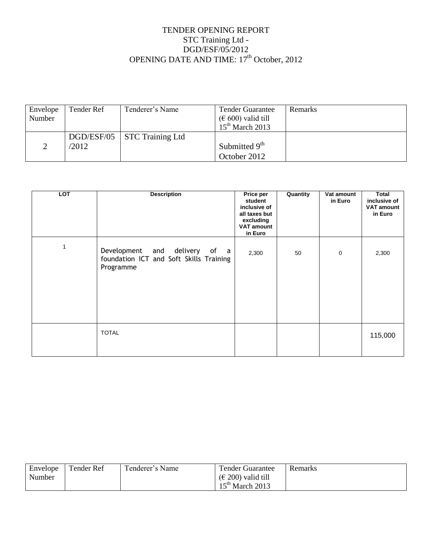## TENDER OPENING REPORT STC Training Ltd - DGD/ESF/05/2012 OPENING DATE AND TIME: 17<sup>th</sup> October, 2012

| Envelope | Tender Ref | Tenderer's Name         | <b>Tender Guarantee</b>                             | Remarks |
|----------|------------|-------------------------|-----------------------------------------------------|---------|
| Number   |            |                         | $(\text{\ensuremath{\mathfrak{E}}} 600)$ valid till |         |
|          |            |                         | $15th$ March 2013                                   |         |
|          | DGD/ESF/05 | <b>STC Training Ltd</b> |                                                     |         |
|          | /2012      |                         | Submitted $9th$                                     |         |
|          |            |                         | October 2012                                        |         |

| <b>LOT</b> | <b>Description</b>                                                                    | <b>Price per</b><br>student<br>inclusive of<br>all taxes but<br>excluding<br><b>VAT amount</b><br>in Euro | Quantity | Vat amount<br>in Euro | <b>Total</b><br>inclusive of<br><b>VAT amount</b><br>in Euro |
|------------|---------------------------------------------------------------------------------------|-----------------------------------------------------------------------------------------------------------|----------|-----------------------|--------------------------------------------------------------|
| 1          | Development and delivery of a<br>foundation ICT and Soft Skills Training<br>Programme | 2,300                                                                                                     | 50       | $\mathbf 0$           | 2,300                                                        |
|            | <b>TOTAL</b>                                                                          |                                                                                                           |          |                       | 115,000                                                      |

| Envelope | Tender Ref | Tenderer's Name | <b>Tender Guarantee</b>                 | <b>Remarks</b> |
|----------|------------|-----------------|-----------------------------------------|----------------|
| Number   |            |                 | $(\text{\textsterling} 200)$ valid till |                |
|          |            |                 | $15th$ March 2013                       |                |